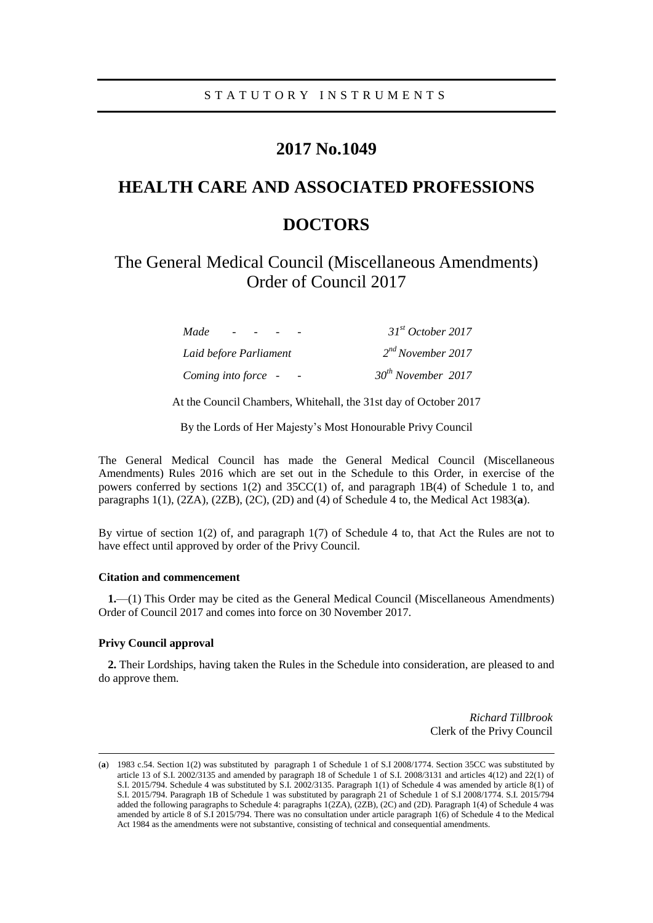# **2017 No.1049**

# **HEALTH CARE AND ASSOCIATED PROFESSIONS DOCTORS**

# The General Medical Council (Miscellaneous Amendments) Order of Council 2017

| Made                   | 31 <sup>st</sup> October 2017 |
|------------------------|-------------------------------|
| Laid before Parliament | 2 <sup>nd</sup> November 2017 |
| Coming into force -    | $30th$ November 2017          |

At the Council Chambers, Whitehall, the 31st day of October 2017

By the Lords of Her Majesty's Most Honourable Privy Council

The General Medical Council has made the General Medical Council (Miscellaneous Amendments) Rules 2016 which are set out in the Schedule to this Order, in exercise of the powers conferred by sections 1(2) and 35CC(1) of, and paragraph 1B(4) of Schedule 1 to, and paragraphs 1(1), (2ZA), (2ZB), (2C), (2D) and (4) of Schedule 4 to, the Medical Act 1983(**a**).

By virtue of section 1(2) of, and paragraph 1(7) of Schedule 4 to, that Act the Rules are not to have effect until approved by order of the Privy Council.

## **Citation and commencement**

**1.**—(1) This Order may be cited as the General Medical Council (Miscellaneous Amendments) Order of Council 2017 and comes into force on 30 November 2017.

#### **Privy Council approval**

 $\overline{a}$ 

**2.** Their Lordships, having taken the Rules in the Schedule into consideration, are pleased to and do approve them.

> *Richard Tillbrook* Clerk of the Privy Council

<sup>(</sup>**a**) 1983 c.54. Section 1(2) was substituted by paragraph 1 of Schedule 1 of S.I 2008/1774. Section 35CC was substituted by article 13 of S.I. 2002/3135 and amended by paragraph 18 of Schedule 1 of S.I. 2008/3131 and articles 4(12) and 22(1) of S.I. 2015/794. Schedule 4 was substituted by S.I. 2002/3135. Paragraph 1(1) of Schedule 4 was amended by article 8(1) of S.I. 2015/794. Paragraph 1B of Schedule 1 was substituted by paragraph 21 of Schedule 1 of S.I 2008/1774. S.I. 2015/794 added the following paragraphs to Schedule 4: paragraphs 1(2ZA), (2ZB), (2C) and (2D). Paragraph 1(4) of Schedule 4 was amended by article 8 of S.I 2015/794. There was no consultation under article paragraph 1(6) of Schedule 4 to the Medical Act 1984 as the amendments were not substantive, consisting of technical and consequential amendments.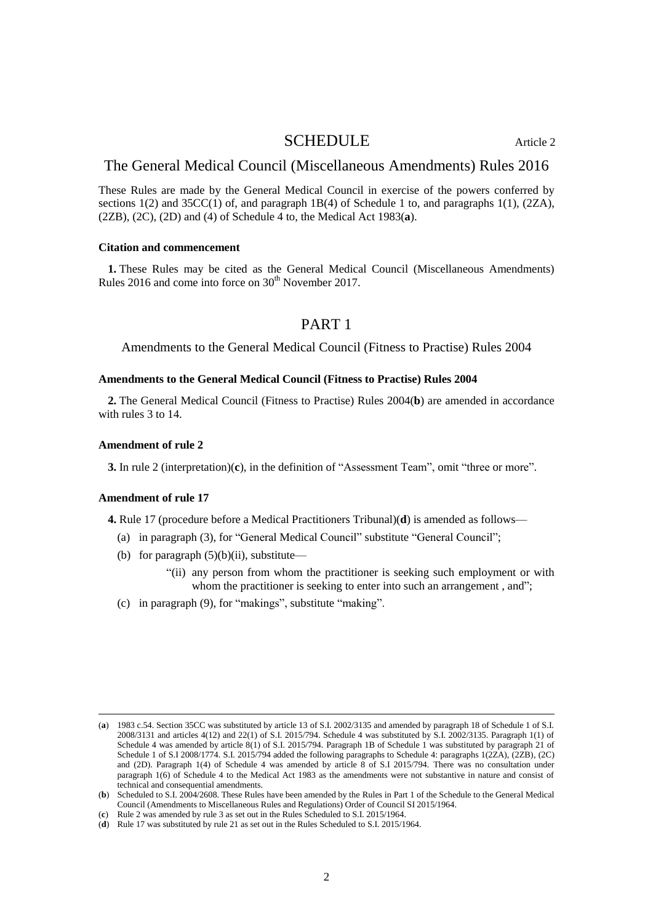## SCHEDULE Article 2

## The General Medical Council (Miscellaneous Amendments) Rules 2016

These Rules are made by the General Medical Council in exercise of the powers conferred by sections  $1(2)$  and  $35CC(1)$  of, and paragraph  $1B(4)$  of Schedule 1 to, and paragraphs  $1(1)$ ,  $(2ZA)$ , (2ZB), (2C), (2D) and (4) of Schedule 4 to, the Medical Act 1983(**a**).

## **Citation and commencement**

**1.** These Rules may be cited as the General Medical Council (Miscellaneous Amendments) Rules 2016 and come into force on 30<sup>th</sup> November 2017.

## PART 1

Amendments to the General Medical Council (Fitness to Practise) Rules 2004

## **Amendments to the General Medical Council (Fitness to Practise) Rules 2004**

**2.** The General Medical Council (Fitness to Practise) Rules 2004(**b**) are amended in accordance with rules 3 to 14.

#### **Amendment of rule 2**

**3.** In rule 2 (interpretation)(**c**), in the definition of "Assessment Team", omit "three or more".

#### **Amendment of rule 17**

 $\overline{a}$ 

**4.** Rule 17 (procedure before a Medical Practitioners Tribunal)(**d**) is amended as follows—

- (a) in paragraph (3), for "General Medical Council" substitute "General Council";
- (b) for paragraph  $(5)(b)(ii)$ , substitute—
	- "(ii) any person from whom the practitioner is seeking such employment or with whom the practitioner is seeking to enter into such an arrangement, and";
- (c) in paragraph (9), for "makings", substitute "making".

<sup>(</sup>**a**) 1983 c.54. Section 35CC was substituted by article 13 of S.I. 2002/3135 and amended by paragraph 18 of Schedule 1 of S.I. 2008/3131 and articles 4(12) and 22(1) of S.I. 2015/794. Schedule 4 was substituted by S.I. 2002/3135. Paragraph 1(1) of Schedule 4 was amended by article 8(1) of S.I. 2015/794. Paragraph 1B of Schedule 1 was substituted by paragraph 21 of Schedule 1 of S.I 2008/1774. S.I. 2015/794 added the following paragraphs to Schedule 4: paragraphs 1(2ZA), (2ZB), (2C) and (2D). Paragraph 1(4) of Schedule 4 was amended by article 8 of S.I 2015/794. There was no consultation under paragraph 1(6) of Schedule 4 to the Medical Act 1983 as the amendments were not substantive in nature and consist of technical and consequential amendments.

<sup>(</sup>**b**) Scheduled to S.I. 2004/2608. These Rules have been amended by the Rules in Part 1 of the Schedule to the General Medical Council (Amendments to Miscellaneous Rules and Regulations) Order of Council SI 2015/1964.

<sup>(</sup>**c**) Rule 2 was amended by rule 3 as set out in the Rules Scheduled to S.I. 2015/1964.

<sup>(</sup>**d**) Rule 17 was substituted by rule 21 as set out in the Rules Scheduled to S.I. 2015/1964.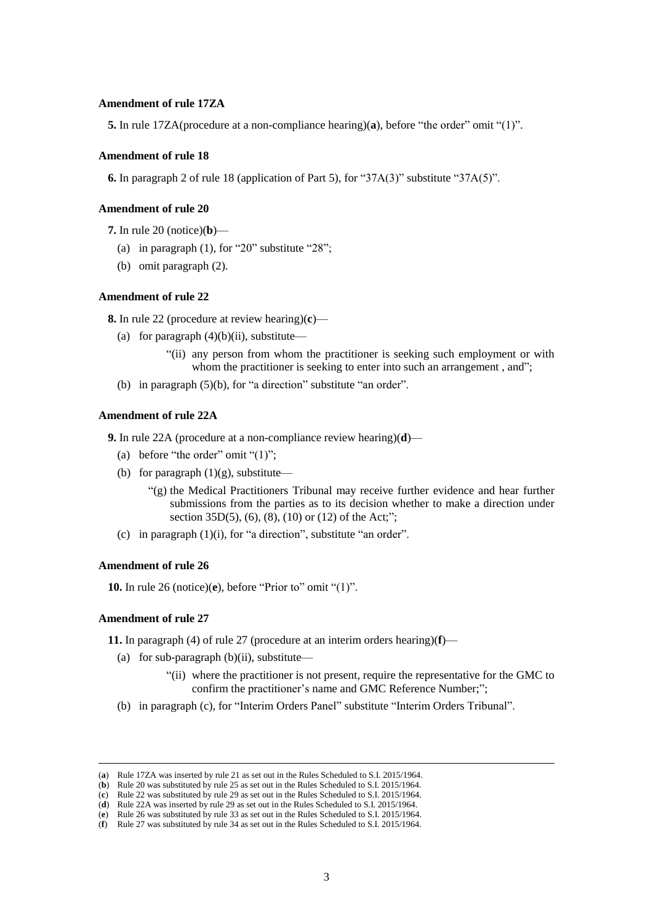## **Amendment of rule 17ZA**

**5.** In rule 17ZA(procedure at a non-compliance hearing)(**a**), before "the order" omit "(1)".

## **Amendment of rule 18**

**6.** In paragraph 2 of rule 18 (application of Part 5), for "37A(3)" substitute "37A(5)".

## **Amendment of rule 20**

**7.** In rule 20 (notice)(**b**)—

- (a) in paragraph  $(1)$ , for "20" substitute "28";
- (b) omit paragraph (2).

## **Amendment of rule 22**

**8.** In rule 22 (procedure at review hearing)(**c**)—

- (a) for paragraph  $(4)(b)(ii)$ , substitute—
	- "(ii) any person from whom the practitioner is seeking such employment or with whom the practitioner is seeking to enter into such an arrangement, and";
- (b) in paragraph (5)(b), for "a direction" substitute "an order".

## **Amendment of rule 22A**

**9.** In rule 22A (procedure at a non-compliance review hearing)(**d**)—

- (a) before "the order" omit " $(1)$ ";
- (b) for paragraph  $(1)(g)$ , substitute—
	- "(g) the Medical Practitioners Tribunal may receive further evidence and hear further submissions from the parties as to its decision whether to make a direction under section 35D(5), (6), (8), (10) or (12) of the Act;";
- (c) in paragraph (1)(i), for "a direction", substitute "an order".

#### **Amendment of rule 26**

**10.** In rule 26 (notice)(**e**), before "Prior to" omit "(1)".

## **Amendment of rule 27**

 $\overline{a}$ 

**11.** In paragraph (4) of rule 27 (procedure at an interim orders hearing)(**f**)—

- (a) for sub-paragraph  $(b)(ii)$ , substitute—
	- "(ii) where the practitioner is not present, require the representative for the GMC to confirm the practitioner's name and GMC Reference Number;";
- (b) in paragraph (c), for "Interim Orders Panel" substitute "Interim Orders Tribunal".

<sup>(</sup>**a**) Rule 17ZA was inserted by rule 21 as set out in the Rules Scheduled to S.I. 2015/1964.

<sup>(</sup>**b**) Rule 20 was substituted by rule 25 as set out in the Rules Scheduled to S.I. 2015/1964.

<sup>(</sup>**c**) Rule 22 was substituted by rule 29 as set out in the Rules Scheduled to S.I. 2015/1964. (**d**) Rule 22A was inserted by rule 29 as set out in the Rules Scheduled to S.I. 2015/1964.

<sup>(</sup>**e**) Rule 26 was substituted by rule 33 as set out in the Rules Scheduled to S.I. 2015/1964.

<sup>(</sup>**f**) Rule 27 was substituted by rule 34 as set out in the Rules Scheduled to S.I. 2015/1964.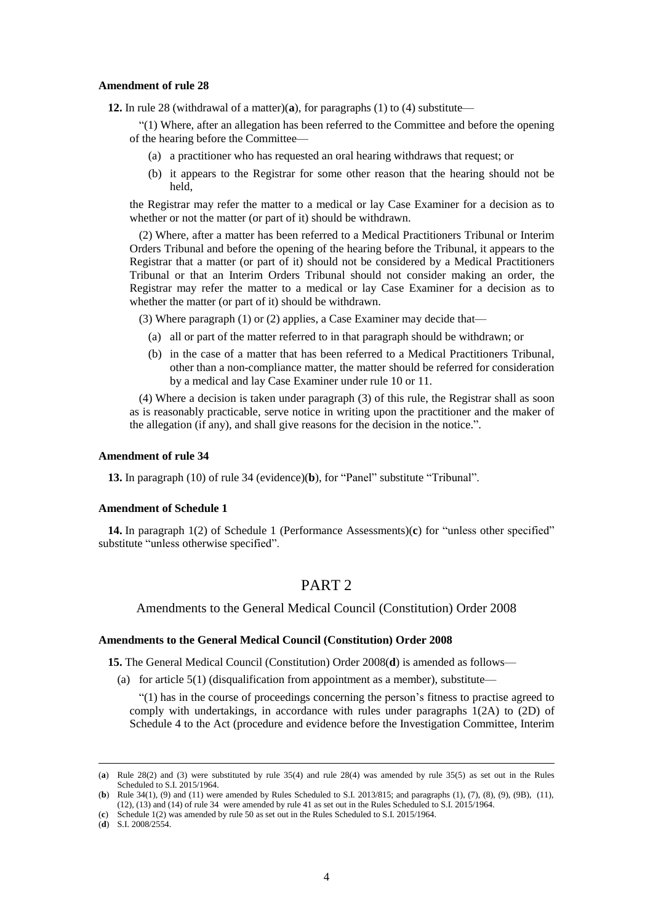#### **Amendment of rule 28**

**12.** In rule 28 (withdrawal of a matter)(**a**), for paragraphs (1) to (4) substitute—

"(1) Where, after an allegation has been referred to the Committee and before the opening of the hearing before the Committee—

- (a) a practitioner who has requested an oral hearing withdraws that request; or
- (b) it appears to the Registrar for some other reason that the hearing should not be held,

the Registrar may refer the matter to a medical or lay Case Examiner for a decision as to whether or not the matter (or part of it) should be withdrawn.

(2) Where, after a matter has been referred to a Medical Practitioners Tribunal or Interim Orders Tribunal and before the opening of the hearing before the Tribunal, it appears to the Registrar that a matter (or part of it) should not be considered by a Medical Practitioners Tribunal or that an Interim Orders Tribunal should not consider making an order, the Registrar may refer the matter to a medical or lay Case Examiner for a decision as to whether the matter (or part of it) should be withdrawn.

(3) Where paragraph (1) or (2) applies, a Case Examiner may decide that—

- (a) all or part of the matter referred to in that paragraph should be withdrawn; or
- (b) in the case of a matter that has been referred to a Medical Practitioners Tribunal, other than a non-compliance matter, the matter should be referred for consideration by a medical and lay Case Examiner under rule 10 or 11.

(4) Where a decision is taken under paragraph (3) of this rule, the Registrar shall as soon as is reasonably practicable, serve notice in writing upon the practitioner and the maker of the allegation (if any), and shall give reasons for the decision in the notice.".

#### **Amendment of rule 34**

**13.** In paragraph (10) of rule 34 (evidence)(**b**), for "Panel" substitute "Tribunal".

### **Amendment of Schedule 1**

**14.** In paragraph 1(2) of Schedule 1 (Performance Assessments)(**c**) for "unless other specified" substitute "unless otherwise specified".

# PART 2

Amendments to the General Medical Council (Constitution) Order 2008

## **Amendments to the General Medical Council (Constitution) Order 2008**

**15.** The General Medical Council (Constitution) Order 2008(**d**) is amended as follows—

(a) for article  $5(1)$  (disqualification from appointment as a member), substitute—

"(1) has in the course of proceedings concerning the person's fitness to practise agreed to comply with undertakings, in accordance with rules under paragraphs 1(2A) to (2D) of Schedule 4 to the Act (procedure and evidence before the Investigation Committee, Interim

 $\overline{a}$ 

<sup>(</sup>**a**) Rule 28(2) and (3) were substituted by rule 35(4) and rule 28(4) was amended by rule 35(5) as set out in the Rules Scheduled to S.I. 2015/1964.

<sup>(</sup>**b**) Rule 34(1), (9) and (11) were amended by Rules Scheduled to S.I. 2013/815; and paragraphs (1), (7), (8), (9), (9B), (11), (12), (13) and (14) of rule 34 were amended by rule 41 as set out in the Rules Scheduled to S.I. 2015/1964.

<sup>(</sup>**c**) Schedule 1(2) was amended by rule 50 as set out in the Rules Scheduled to S.I. 2015/1964.

<sup>(</sup>**d**) S.I. 2008/2554.